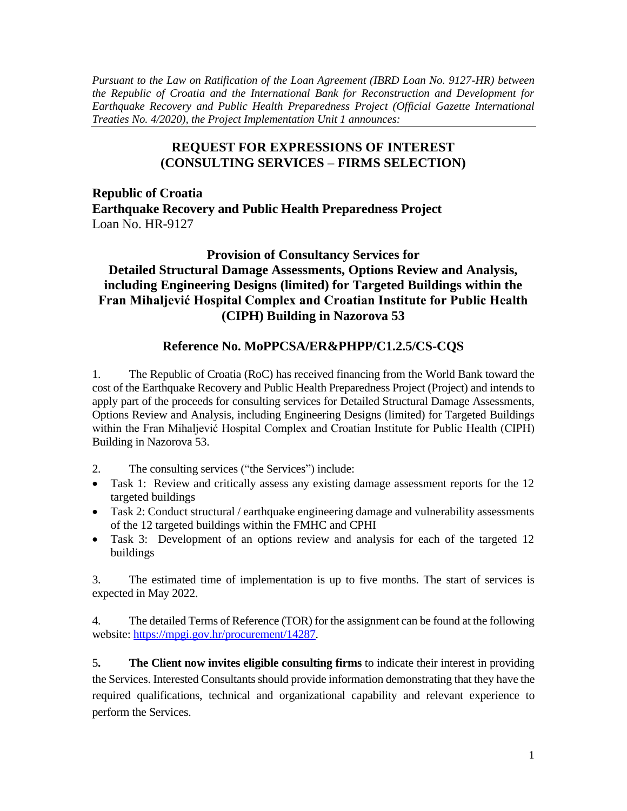*Pursuant to the Law on Ratification of the Loan Agreement (IBRD Loan No. 9127-HR) between the Republic of Croatia and the International Bank for Reconstruction and Development for Earthquake Recovery and Public Health Preparedness Project (Official Gazette International Treaties No. 4/2020), the Project Implementation Unit 1 announces:*

## **REQUEST FOR EXPRESSIONS OF INTEREST (CONSULTING SERVICES – FIRMS SELECTION)**

**Republic of Croatia Earthquake Recovery and Public Health Preparedness Project** Loan No. HR-9127

## **Provision of Consultancy Services for Detailed Structural Damage Assessments, Options Review and Analysis, including Engineering Designs (limited) for Targeted Buildings within the Fran Mihaljević Hospital Complex and Croatian Institute for Public Health (CIPH) Building in Nazorova 53**

## **Reference No. MoPPCSA/ER&PHPP/C1.2.5/CS-CQS**

1. The Republic of Croatia (RoC) has received financing from the World Bank toward the cost of the Earthquake Recovery and Public Health Preparedness Project (Project) and intends to apply part of the proceeds for consulting services for Detailed Structural Damage Assessments, Options Review and Analysis, including Engineering Designs (limited) for Targeted Buildings within the Fran Mihaljević Hospital Complex and Croatian Institute for Public Health (CIPH) Building in Nazorova 53.

- 2. The consulting services ("the Services") include:
- Task 1: Review and critically assess any existing damage assessment reports for the 12 targeted buildings
- Task 2: Conduct structural / earthquake engineering damage and vulnerability assessments of the 12 targeted buildings within the FMHC and CPHI
- Task 3: Development of an options review and analysis for each of the targeted 12 buildings

3. The estimated time of implementation is up to five months. The start of services is expected in May 2022.

4. The detailed Terms of Reference (TOR) for the assignment can be found at the following website: [https://mpgi.gov.hr/procurement/14287.](https://mpgi.gov.hr/procurement/14287)

5**. The Client now invites eligible consulting firms** to indicate their interest in providing the Services. Interested Consultants should provide information demonstrating that they have the required qualifications, technical and organizational capability and relevant experience to perform the Services.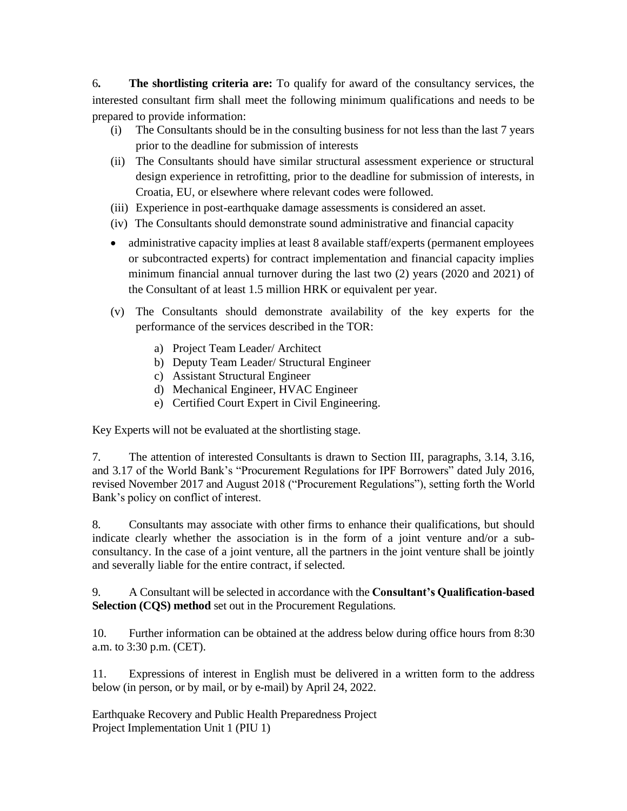6**. The shortlisting criteria are:** To qualify for award of the consultancy services, the interested consultant firm shall meet the following minimum qualifications and needs to be prepared to provide information:

- (i) The Consultants should be in the consulting business for not less than the last 7 years prior to the deadline for submission of interests
- (ii) The Consultants should have similar structural assessment experience or structural design experience in retrofitting, prior to the deadline for submission of interests, in Croatia, EU, or elsewhere where relevant codes were followed.
- (iii) Experience in post-earthquake damage assessments is considered an asset.
- (iv) The Consultants should demonstrate sound administrative and financial capacity
- administrative capacity implies at least 8 available staff/experts (permanent employees or subcontracted experts) for contract implementation and financial capacity implies minimum financial annual turnover during the last two (2) years (2020 and 2021) of the Consultant of at least 1.5 million HRK or equivalent per year.
- (v) The Consultants should demonstrate availability of the key experts for the performance of the services described in the TOR:
	- a) Project Team Leader/ Architect
	- b) Deputy Team Leader/ Structural Engineer
	- c) Assistant Structural Engineer
	- d) Mechanical Engineer, HVAC Engineer
	- e) Certified Court Expert in Civil Engineering.

Key Experts will not be evaluated at the shortlisting stage.

7. The attention of interested Consultants is drawn to Section III, paragraphs, 3.14, 3.16, and 3.17 of the World Bank's "Procurement Regulations for IPF Borrowers" dated July 2016, revised November 2017 and August 2018 ("Procurement Regulations"), setting forth the World Bank's policy on conflict of interest.

8. Consultants may associate with other firms to enhance their qualifications, but should indicate clearly whether the association is in the form of a joint venture and/or a subconsultancy. In the case of a joint venture, all the partners in the joint venture shall be jointly and severally liable for the entire contract, if selected.

9. A Consultant will be selected in accordance with the **Consultant's Qualification-based Selection (CQS) method** set out in the Procurement Regulations.

10. Further information can be obtained at the address below during office hours from 8:30 a.m. to 3:30 p.m. (CET).

11. Expressions of interest in English must be delivered in a written form to the address below (in person, or by mail, or by e-mail) by April 24, 2022.

Earthquake Recovery and Public Health Preparedness Project Project Implementation Unit 1 (PIU 1)